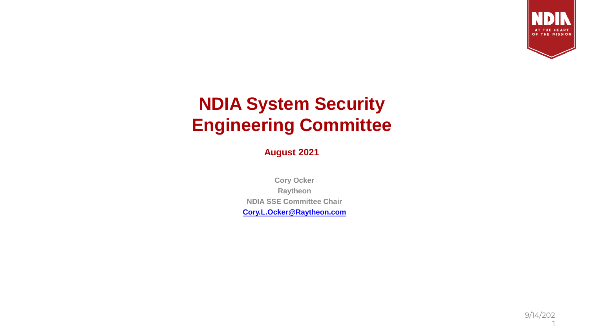

### **NDIA System Security Engineering Committee**

**August 2021**

**Cory Ocker Raytheon NDIA SSE Committee Chair [Cory.L.Ocker@Raytheon.com](mailto:Cory.Ocker@Raytheon.com)**

> 9/14/202 1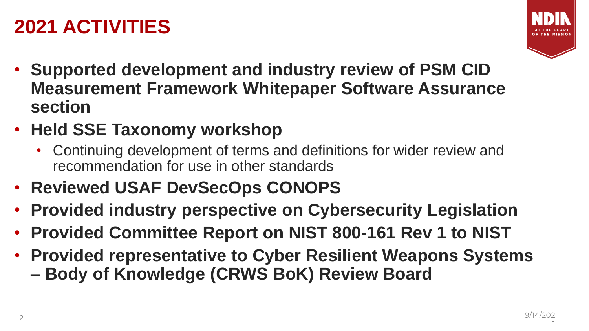# **2021 ACTIVITIES**



- **Supported development and industry review of PSM CID Measurement Framework Whitepaper Software Assurance section**
- **Held SSE Taxonomy workshop**
	- Continuing development of terms and definitions for wider review and recommendation for use in other standards
- **Reviewed USAF DevSecOps CONOPS**
- **Provided industry perspective on Cybersecurity Legislation**
- **Provided Committee Report on NIST 800-161 Rev 1 to NIST**
- **Provided representative to Cyber Resilient Weapons Systems – Body of Knowledge (CRWS BoK) Review Board**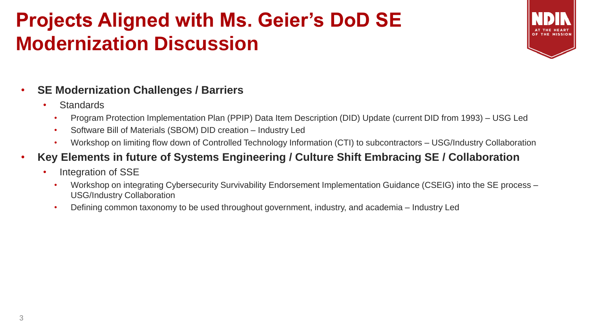# **Projects Aligned with Ms. Geier's DoD SE Modernization Discussion**



#### • **SE Modernization Challenges / Barriers**

- Standards
	- Program Protection Implementation Plan (PPIP) Data Item Description (DID) Update (current DID from 1993) USG Led
	- Software Bill of Materials (SBOM) DID creation Industry Led
	- Workshop on limiting flow down of Controlled Technology Information (CTI) to subcontractors USG/Industry Collaboration
- **Key Elements in future of Systems Engineering / Culture Shift Embracing SE / Collaboration**
	- Integration of SSE
		- Workshop on integrating Cybersecurity Survivability Endorsement Implementation Guidance (CSEIG) into the SE process USG/Industry Collaboration
		- Defining common taxonomy to be used throughout government, industry, and academia Industry Led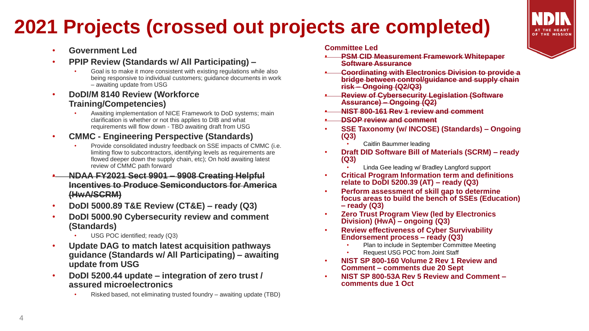# **2021 Projects (crossed out projects are completed)**



- **Government Led**
- **PPIP Review (Standards w/ All Participating) –**
	- Goal is to make it more consistent with existing regulations while also being responsive to individual customers; guidance documents in work – awaiting update from USG
- **DoDI/M 8140 Review (Workforce Training/Competencies)**
	- Awaiting implementation of NICE Framework to DoD systems; main clarification is whether or not this applies to DIB and what requirements will flow down - TBD awaiting draft from USG
- **CMMC - Engineering Perspective (Standards)**
	- Provide consolidated industry feedback on SSE impacts of CMMC (i.e. limiting flow to subcontractors, identifying levels as requirements are flowed deeper down the supply chain, etc); On hold awaiting latest review of CMMC path forward
- **NDAA FY2021 Sect 9901 – 9908 Creating Helpful Incentives to Produce Semiconductors for America (HwA/SCRM)**
- **DoDI 5000.89 T&E Review (CT&E) – ready (Q3)**
- **DoDI 5000.90 Cybersecurity review and comment (Standards)**
	- USG POC identified; ready (Q3)
- **Update DAG to match latest acquisition pathways guidance (Standards w/ All Participating) – awaiting update from USG**
- **DoDI 5200.44 update – integration of zero trust / assured microelectronics**
	- Risked based, not eliminating trusted foundry awaiting update (TBD)

#### **Committee Led**

- **PSM CID Measurement Framework Whitepaper Software Assurance**
- **Coordinating with Electronics Division to provide a bridge between control/guidance and supply chain risk – Ongoing (Q2/Q3)**
- **Review of Cybersecurity Legislation (Software Assurance) – Ongoing (Q2)**
- **NIST 800-161 Rev 1 review and comment**
- **DSOP review and comment**
- **SSE Taxonomy (w/ INCOSE) (Standards) – Ongoing (Q3)** 
	- Caitlin Baummer leading
- **Draft DID Software Bill of Materials (SCRM) – ready (Q3)**
	- Linda Gee leading w/ Bradley Langford support
- **Critical Program Information term and definitions relate to DoDI 5200.39 (AT) – ready (Q3)**
- **Perform assessment of skill gap to determine focus areas to build the bench of SSEs (Education) – ready (Q3)**
- **Zero Trust Program View (led by Electronics Division) (HwA) – ongoing (Q3)**
- **Review effectiveness of Cyber Survivability Endorsement process – ready (Q3)**
	- Plan to include in September Committee Meeting
	- Request USG POC from Joint Staff
- **NIST SP 800-160 Volume 2 Rev 1 Review and Comment – comments due 20 Sept**
- **NIST SP 800-53A Rev 5 Review and Comment – comments due 1 Oct**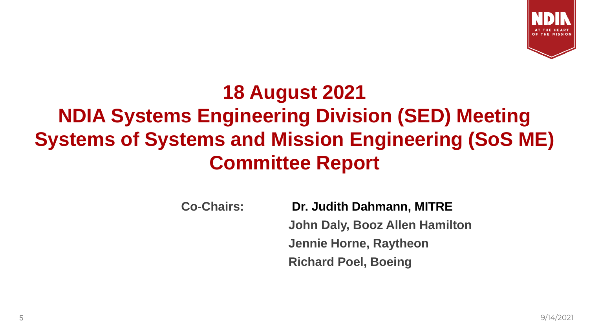

# **18 August 2021 NDIA Systems Engineering Division (SED) Meeting Systems of Systems and Mission Engineering (SoS ME) Committee Report**

**Co-Chairs: Dr. Judith Dahmann, MITRE John Daly, Booz Allen Hamilton Jennie Horne, Raytheon Richard Poel, Boeing**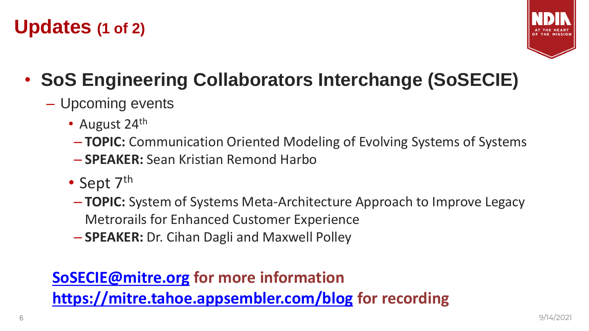## **Updates (1 of 2)**



# • **SoS Engineering Collaborators Interchange (SoSECIE)**

- Upcoming events
	- August 24<sup>th</sup>
	- **TOPIC:** Communication Oriented Modeling of Evolving Systems of Systems
	- **SPEAKER:** Sean Kristian Remond Harbo
	- Sept 7<sup>th</sup>
	- **TOPIC:** System of Systems Meta-Architecture Approach to Improve Legacy Metrorails for Enhanced Customer Experience
	- **SPEAKER:** Dr. Cihan Dagli and Maxwell Polley

#### **[SoSECIE@mitre.org](mailto:SoSECIE@mitre.org) for more information <https://mitre.tahoe.appsembler.com/blog> for recording**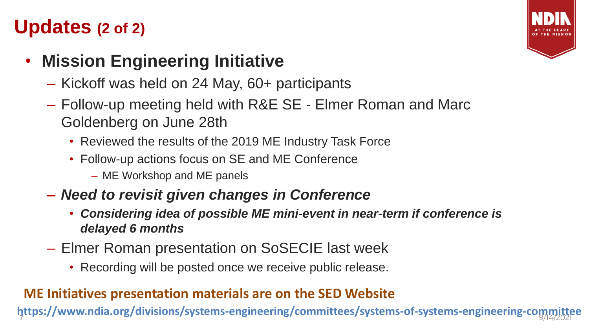## **Updates (2 of 2)**

#### • **Mission Engineering Initiative**

- Kickoff was held on 24 May, 60+ participants
- Follow-up meeting held with R&E SE Elmer Roman and Marc Goldenberg on June 28th
	- Reviewed the results of the 2019 ME Industry Task Force
	- Follow-up actions focus on SE and ME Conference
		- ME Workshop and ME panels
- *Need to revisit given changes in Conference*
	- *Considering idea of possible ME mini-event in near-term if conference is delayed 6 months*
- Elmer Roman presentation on SoSECIE last week
	- Recording will be posted once we receive public release.

#### **ME Initiatives presentation materials are on the SED Website**

7 9/14/2021 **https://www.ndia.org/divisions/systems-engineering/committees/systems-of-systems-engineering-committee**

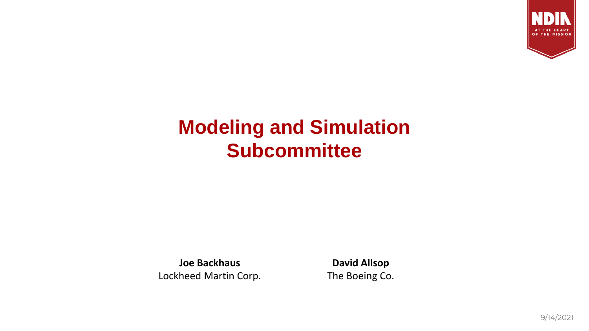

## **Modeling and Simulation Subcommittee**

**Joe Backhaus** Lockheed Martin Corp.

**David Allsop** The Boeing Co.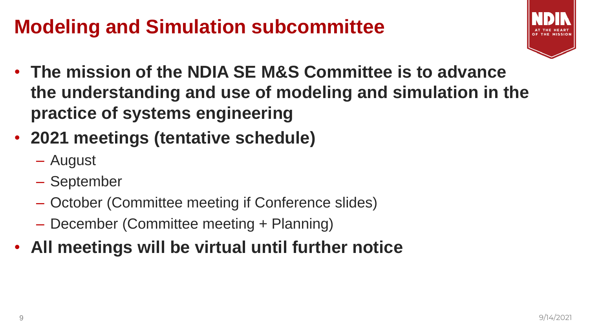# **Modeling and Simulation subcommittee**



- **The mission of the NDIA SE M&S Committee is to advance the understanding and use of modeling and simulation in the practice of systems engineering**
- **2021 meetings (tentative schedule)**
	- August
	- September
	- October (Committee meeting if Conference slides)
	- December (Committee meeting + Planning)
- **All meetings will be virtual until further notice**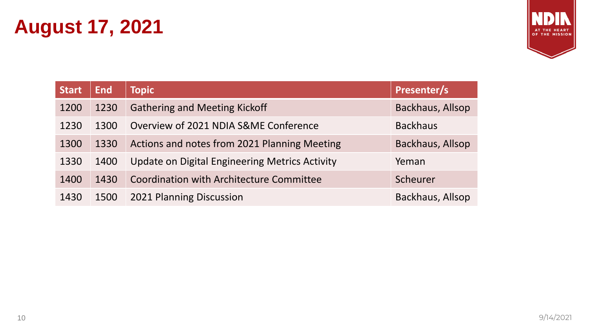# **August 17, 2021**



| <b>Start</b> | <b>End</b> | <b>Topic</b>                                    | Presenter/s      |
|--------------|------------|-------------------------------------------------|------------------|
| 1200         | 1230       | <b>Gathering and Meeting Kickoff</b>            | Backhaus, Allsop |
| 1230         | 1300       | Overview of 2021 NDIA S&ME Conference           | <b>Backhaus</b>  |
| 1300         | 1330       | Actions and notes from 2021 Planning Meeting    | Backhaus, Allsop |
| 1330         | 1400       | Update on Digital Engineering Metrics Activity  | Yeman            |
| 1400         | 1430       | <b>Coordination with Architecture Committee</b> | Scheurer         |
| 1430         | 1500       | 2021 Planning Discussion                        | Backhaus, Allsop |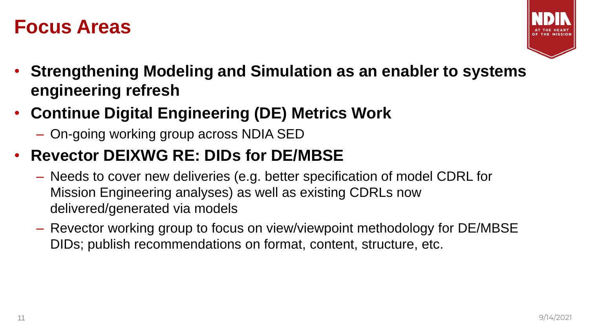#### **Focus Areas**



- **Strengthening Modeling and Simulation as an enabler to systems engineering refresh**
- **Continue Digital Engineering (DE) Metrics Work**
	- On-going working group across NDIA SED

#### • **Revector DEIXWG RE: DIDs for DE/MBSE**

- Needs to cover new deliveries (e.g. better specification of model CDRL for Mission Engineering analyses) as well as existing CDRLs now delivered/generated via models
- Revector working group to focus on view/viewpoint methodology for DE/MBSE DIDs; publish recommendations on format, content, structure, etc.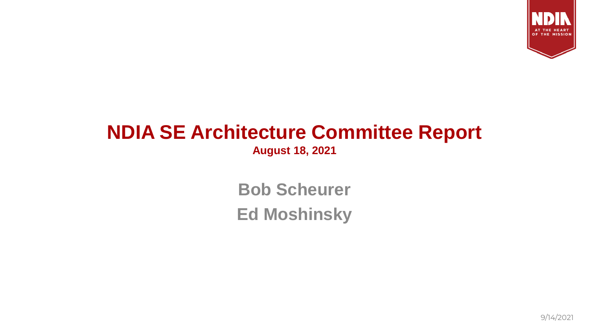

## **NDIA SE Architecture Committee Report**

**August 18, 2021**

**Bob Scheurer Ed Moshinsky**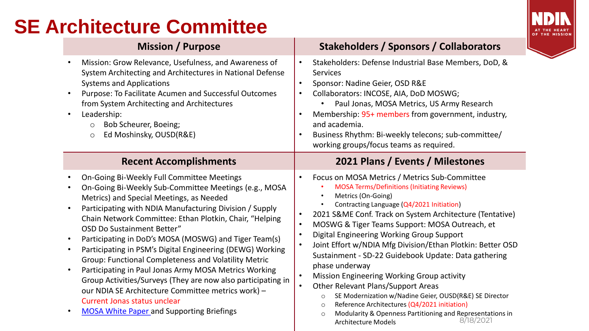## **SE Architecture Committee**



- Mission: Grow Relevance, Usefulness, and Awareness of System Architecting and Architectures in National Defense Systems and Applications
- Purpose: To Facilitate Acumen and Successful Outcomes from System Architecting and Architectures
- Leadership:
	- o Bob Scheurer, Boeing;
	- o Ed Moshinsky, OUSD(R&E)

- On-Going Bi-Weekly Full Committee Meetings
- On-Going Bi-Weekly Sub-Committee Meetings (e.g., MOSA Metrics) and Special Meetings, as Needed
- Participating with NDIA Manufacturing Division / Supply Chain Network Committee: Ethan Plotkin, Chair, "Helping OSD Do Sustainment Better"
- Participating in DoD's MOSA (MOSWG) and Tiger Team(s)
- Participating in PSM's Digital Engineering (DEWG) Working Group: Functional Completeness and Volatility Metric
- Participating in Paul Jonas Army MOSA Metrics Working Group Activities/Surveys (They are now also participating in our NDIA SE Architecture Committee metrics work) – Current Jonas status unclear
- [MOSA White Paper a](https://www.incose.org/docs/default-source/midwest-gateway/events/ndia_mosa_whitepaper_final_20200701.pdf)nd Supporting Briefings

#### **Mission / Purpose Stakeholders / Sponsors / Collaborators**

- Stakeholders: Defense Industrial Base Members, DoD, & Services
- Sponsor: Nadine Geier, OSD R&E
- Collaborators: INCOSE, AIA, DoD MOSWG;
	- Paul Jonas, MOSA Metrics, US Army Research
- Membership: 95+ members from government, industry, and academia.
- Business Rhythm: Bi-weekly telecons; sub-committee/ working groups/focus teams as required.

#### **Recent Accomplishments 2021 Plans / Events / Milestones**

- Focus on MOSA Metrics / Metrics Sub-Committee • MOSA Terms/Definitions (Initiating Reviews)
	- Metrics (On-Going)
	- Contracting Language (Q4/2021 Initiation)
- 2021 S&ME Conf. Track on System Architecture (Tentative)
- MOSWG & Tiger Teams Support: MOSA Outreach, et
- Digital Engineering Working Group Support
- Joint Effort w/NDIA Mfg Division/Ethan Plotkin: Better OSD Sustainment - SD-22 Guidebook Update: Data gathering phase underway
- Mission Engineering Working Group activity
- Other Relevant Plans/Support Areas
	- o SE Modernization w/Nadine Geier, OUSD(R&E) SE Director
	- o Reference Architectures (Q4/2021 initiation)
	- o Modularity & Openness Partitioning and Representations in Architecture Models 8/18/2021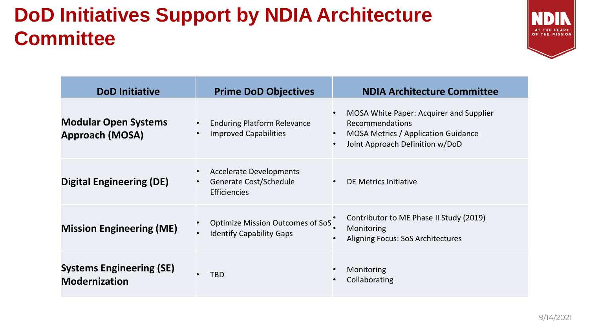# **DoD Initiatives Support by NDIA Architecture Committee**



| <b>DoD Initiative</b>                                   | <b>Prime DoD Objectives</b>                                                                  | <b>NDIA Architecture Committee</b>                                                                                                                |
|---------------------------------------------------------|----------------------------------------------------------------------------------------------|---------------------------------------------------------------------------------------------------------------------------------------------------|
| <b>Modular Open Systems</b><br><b>Approach (MOSA)</b>   | <b>Enduring Platform Relevance</b><br><b>Improved Capabilities</b>                           | MOSA White Paper: Acquirer and Supplier<br>Recommendations<br>MOSA Metrics / Application Guidance<br>Joint Approach Definition w/DoD<br>$\bullet$ |
| <b>Digital Engineering (DE)</b>                         | <b>Accelerate Developments</b><br>Generate Cost/Schedule<br>$\bullet$<br><b>Efficiencies</b> | DE Metrics Initiative                                                                                                                             |
| <b>Mission Engineering (ME)</b>                         | <b>Optimize Mission Outcomes of SoS</b><br><b>Identify Capability Gaps</b>                   | Contributor to ME Phase II Study (2019)<br>Monitoring<br>Aligning Focus: SoS Architectures                                                        |
| <b>Systems Engineering (SE)</b><br><b>Modernization</b> | TBD                                                                                          | Monitoring<br>Collaborating                                                                                                                       |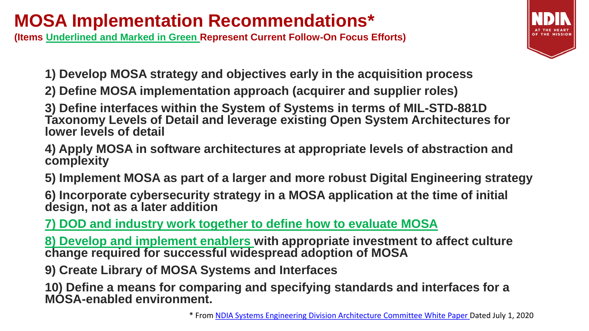### **MOSA Implementation Recommendations\***

**(Items Underlined and Marked in Green Represent Current Follow-On Focus Efforts)**

- **1) Develop MOSA strategy and objectives early in the acquisition process**
- **2) Define MOSA implementation approach (acquirer and supplier roles)**

**3) Define interfaces within the System of Systems in terms of MIL-STD-881D Taxonomy Levels of Detail and leverage existing Open System Architectures for lower levels of detail**

- **4) Apply MOSA in software architectures at appropriate levels of abstraction and complexity**
- **5) Implement MOSA as part of a larger and more robust Digital Engineering strategy**
- **6) Incorporate cybersecurity strategy in a MOSA application at the time of initial design, not as a later addition**

**7) DOD and industry work together to define how to evaluate MOSA**

**8) Develop and implement enablers with appropriate investment to affect culture change required for successful widespread adoption of MOSA**

**9) Create Library of MOSA Systems and Interfaces**

**10) Define a means for comparing and specifying standards and interfaces for a MOSA-enabled environment.**